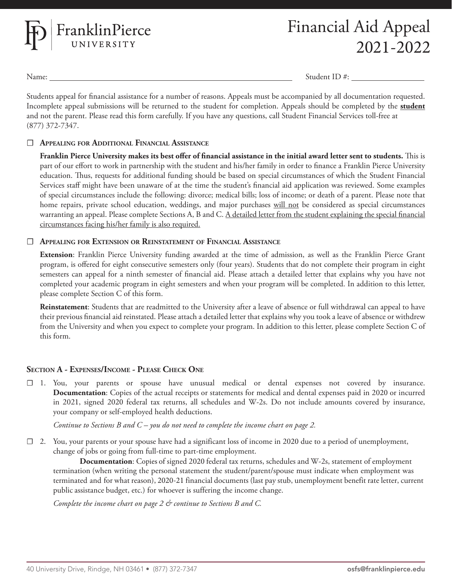

Name: Student ID #:

Students appeal for financial assistance for a number of reasons. Appeals must be accompanied by all documentation requested. Incomplete appeal submissions will be returned to the student for completion. Appeals should be completed by the **student** and not the parent. Please read this form carefully. If you have any questions, call Student Financial Services toll-free at (877) 372-7347.

### ☐ **Appealing for Additional Financial Assistance**

**Franklin Pierce University makes its best offer of financial assistance in the initial award letter sent to students.** This is part of our effort to work in partnership with the student and his/her family in order to finance a Franklin Pierce University education. Thus, requests for additional funding should be based on special circumstances of which the Student Financial Services staff might have been unaware of at the time the student's financial aid application was reviewed. Some examples of special circumstances include the following: divorce; medical bills; loss of income; or death of a parent. Please note that home repairs, private school education, weddings, and major purchases will not be considered as special circumstances warranting an appeal. Please complete Sections A, B and C. A detailed letter from the student explaining the special financial circumstances facing his/her family is also required.

### ☐ **Appealing for Extension or Reinstatement of Financial Assistance**

**Extension**: Franklin Pierce University funding awarded at the time of admission, as well as the Franklin Pierce Grant program, is offered for eight consecutive semesters only (four years). Students that do not complete their program in eight semesters can appeal for a ninth semester of financial aid. Please attach a detailed letter that explains why you have not completed your academic program in eight semesters and when your program will be completed. In addition to this letter, please complete Section C of this form.

**Reinstatement**: Students that are readmitted to the University after a leave of absence or full withdrawal can appeal to have their previous financial aid reinstated. Please attach a detailed letter that explains why you took a leave of absence or withdrew from the University and when you expect to complete your program. In addition to this letter, please complete Section C of this form.

## **Section A - Expenses/Income - Please Check One**

☐ 1. You, your parents or spouse have unusual medical or dental expenses not covered by insurance. **Documentation**: Copies of the actual receipts or statements for medical and dental expenses paid in 2020 or incurred in 2021, signed 2020 federal tax returns, all schedules and W-2s. Do not include amounts covered by insurance, your company or self-employed health deductions.

*Continue to Sections B and C – you do not need to complete the income chart on page 2.*

☐ 2. You, your parents or your spouse have had a significant loss of income in 2020 due to a period of unemployment, change of jobs or going from full-time to part-time employment.

**Documentation**: Copies of signed 2020 federal tax returns, schedules and W-2s, statement of employment termination (when writing the personal statement the student/parent/spouse must indicate when employment was terminated and for what reason), 2020-21 financial documents (last pay stub, unemployment benefit rate letter, current public assistance budget, etc.) for whoever is suffering the income change.

*Complete the income chart on page 2 & continue to Sections B and C.*